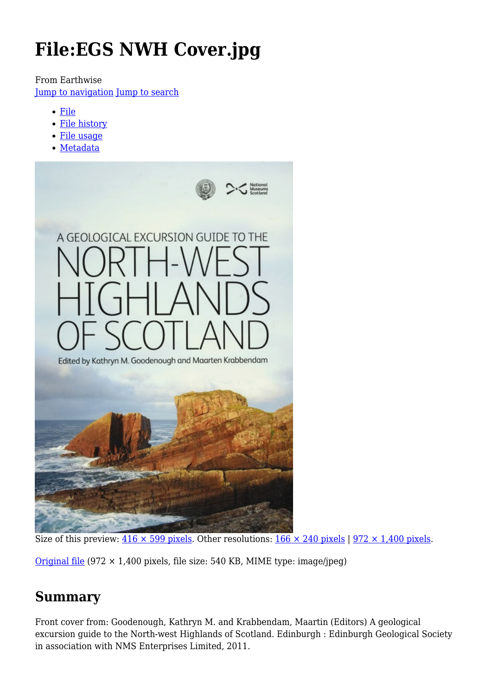# **File:EGS NWH Cover.jpg**

From Earthwise

[Jump to navigation](#page--1-0) [Jump to search](#page--1-0)

- [File](#page--1-0)
- [File history](#page--1-0)
- [File usage](#page--1-0)
- [Metadata](#page--1-0)



Size of this preview:  $416 \times 599$  pixels. Other resolutions:  $166 \times 240$  pixels | 972  $\times$  1,400 pixels.

[Original file](http://earthwise.bgs.ac.uk/images/7/72/EGS_NWH_Cover.jpg) (972 × 1,400 pixels, file size: 540 KB, MIME type: image/jpeg)

### **Summary**

Front cover from: Goodenough, Kathryn M. and Krabbendam, Maartin (Editors) A geological excursion guide to the North-west Highlands of Scotland. Edinburgh : Edinburgh Geological Society in association with NMS Enterprises Limited, 2011.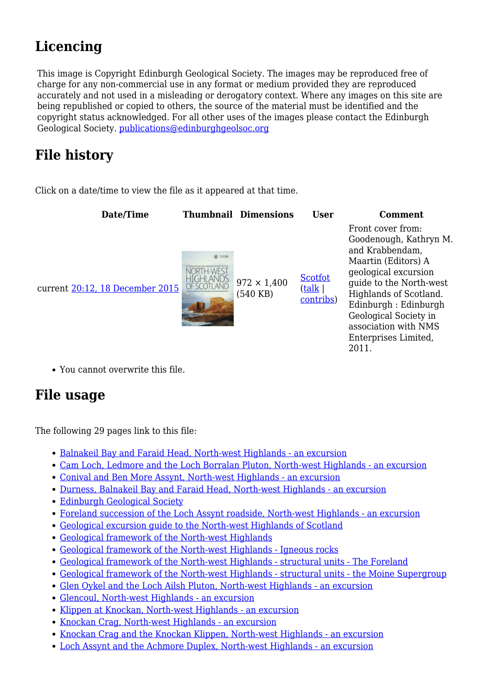# **Licencing**

This image is Copyright Edinburgh Geological Society. The images may be reproduced free of charge for any non-commercial use in any format or medium provided they are reproduced accurately and not used in a misleading or derogatory context. Where any images on this site are being republished or copied to others, the source of the material must be identified and the copyright status acknowledged. For all other uses of the images please contact the Edinburgh Geological Society. [publications@edinburghgeolsoc.org](mailto:publications@edinburghgeolsoc.org)

## **File history**

Click on a date/time to view the file as it appeared at that time.



You cannot overwrite this file.

### **File usage**

The following 29 pages link to this file:

- [Balnakeil Bay and Faraid Head, North-west Highlands an excursion](http://earthwise.bgs.ac.uk/index.php/Balnakeil_Bay_and_Faraid_Head,_North-west_Highlands_-_an_excursion)
- [Cam Loch, Ledmore and the Loch Borralan Pluton, North-west Highlands an excursion](http://earthwise.bgs.ac.uk/index.php/Cam_Loch,_Ledmore_and_the_Loch_Borralan_Pluton,_North-west_Highlands_-_an_excursion)
- [Conival and Ben More Assynt, North-west Highlands an excursion](http://earthwise.bgs.ac.uk/index.php/Conival_and_Ben_More_Assynt,_North-west_Highlands_-_an_excursion)
- [Durness, Balnakeil Bay and Faraid Head, North-west Highlands an excursion](http://earthwise.bgs.ac.uk/index.php/Durness,_Balnakeil_Bay_and_Faraid_Head,_North-west_Highlands_-_an_excursion)
- [Edinburgh Geological Society](http://earthwise.bgs.ac.uk/index.php/Edinburgh_Geological_Society)
- [Foreland succession of the Loch Assynt roadside, North-west Highlands an excursion](http://earthwise.bgs.ac.uk/index.php/Foreland_succession_of_the_Loch_Assynt_roadside,_North-west_Highlands_-_an_excursion)
- [Geological excursion guide to the North-west Highlands of Scotland](http://earthwise.bgs.ac.uk/index.php/Geological_excursion_guide_to_the_North-west_Highlands_of_Scotland)
- [Geological framework of the North-west Highlands](http://earthwise.bgs.ac.uk/index.php/Geological_framework_of_the_North-west_Highlands)
- [Geological framework of the North-west Highlands Igneous rocks](http://earthwise.bgs.ac.uk/index.php/Geological_framework_of_the_North-west_Highlands_-_Igneous_rocks)
- [Geological framework of the North-west Highlands structural units The Foreland](http://earthwise.bgs.ac.uk/index.php/Geological_framework_of_the_North-west_Highlands_-_structural_units_-_The_Foreland)
- [Geological framework of the North-west Highlands structural units the Moine Supergroup](http://earthwise.bgs.ac.uk/index.php/Geological_framework_of_the_North-west_Highlands_-_structural_units_-_the_Moine_Supergroup)
- [Glen Oykel and the Loch Ailsh Pluton, North-west Highlands an excursion](http://earthwise.bgs.ac.uk/index.php/Glen_Oykel_and_the_Loch_Ailsh_Pluton,_North-west_Highlands_-_an_excursion)
- [Glencoul, North-west Highlands an excursion](http://earthwise.bgs.ac.uk/index.php/Glencoul,_North-west_Highlands_-_an_excursion)
- [Klippen at Knockan, North-west Highlands an excursion](http://earthwise.bgs.ac.uk/index.php/Klippen_at_Knockan,_North-west_Highlands_-_an_excursion)
- [Knockan Crag, North-west Highlands an excursion](http://earthwise.bgs.ac.uk/index.php/Knockan_Crag,_North-west_Highlands_-_an_excursion)
- [Knockan Crag and the Knockan Klippen, North-west Highlands an excursion](http://earthwise.bgs.ac.uk/index.php/Knockan_Crag_and_the_Knockan_Klippen,_North-west_Highlands_-_an_excursion)
- [Loch Assynt and the Achmore Duplex, North-west Highlands an excursion](http://earthwise.bgs.ac.uk/index.php/Loch_Assynt_and_the_Achmore_Duplex,_North-west_Highlands_-_an_excursion)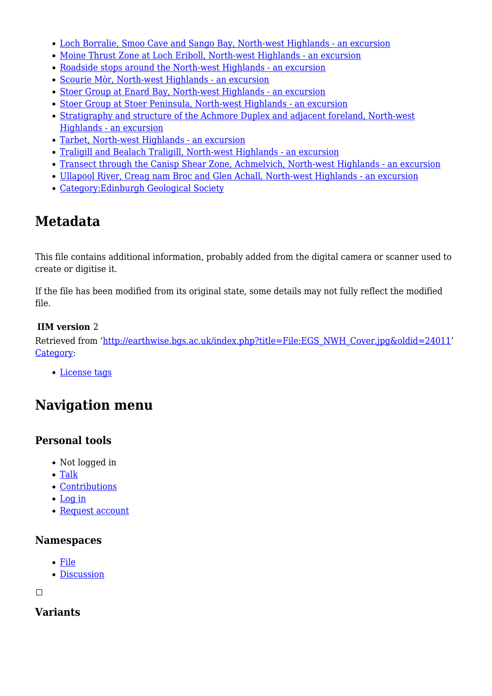- [Loch Borralie, Smoo Cave and Sango Bay, North-west Highlands an excursion](http://earthwise.bgs.ac.uk/index.php/Loch_Borralie,_Smoo_Cave_and_Sango_Bay,_North-west_Highlands_-_an_excursion)
- [Moine Thrust Zone at Loch Eriboll, North-west Highlands an excursion](http://earthwise.bgs.ac.uk/index.php/Moine_Thrust_Zone_at_Loch_Eriboll,_North-west_Highlands_-_an_excursion)
- [Roadside stops around the North-west Highlands an excursion](http://earthwise.bgs.ac.uk/index.php/Roadside_stops_around_the_North-west_Highlands_-_an_excursion)
- [Scourie Mòr, North-west Highlands an excursion](http://earthwise.bgs.ac.uk/index.php/Scourie_M%C3%B2r,_North-west_Highlands_-_an_excursion)
- [Stoer Group at Enard Bay, North-west Highlands an excursion](http://earthwise.bgs.ac.uk/index.php/Stoer_Group_at_Enard_Bay,_North-west_Highlands_-_an_excursion)
- [Stoer Group at Stoer Peninsula, North-west Highlands an excursion](http://earthwise.bgs.ac.uk/index.php/Stoer_Group_at_Stoer_Peninsula,_North-west_Highlands_-_an_excursion)
- [Stratigraphy and structure of the Achmore Duplex and adjacent foreland, North-west](http://earthwise.bgs.ac.uk/index.php/Stratigraphy_and_structure_of_the_Achmore_Duplex_and_adjacent_foreland,_North-west_Highlands_-_an_excursion) [Highlands - an excursion](http://earthwise.bgs.ac.uk/index.php/Stratigraphy_and_structure_of_the_Achmore_Duplex_and_adjacent_foreland,_North-west_Highlands_-_an_excursion)
- [Tarbet, North-west Highlands an excursion](http://earthwise.bgs.ac.uk/index.php/Tarbet,_North-west_Highlands_-_an_excursion)
- [Traligill and Bealach Traligill, North-west Highlands an excursion](http://earthwise.bgs.ac.uk/index.php/Traligill_and_Bealach_Traligill,_North-west_Highlands_-_an_excursion)
- [Transect through the Canisp Shear Zone, Achmelvich, North-west Highlands an excursion](http://earthwise.bgs.ac.uk/index.php/Transect_through_the_Canisp_Shear_Zone,_Achmelvich,_North-west_Highlands_-_an_excursion)
- [Ullapool River, Creag nam Broc and Glen Achall, North-west Highlands an excursion](http://earthwise.bgs.ac.uk/index.php/Ullapool_River,_Creag_nam_Broc_and_Glen_Achall,_North-west_Highlands_-_an_excursion)
- [Category:Edinburgh Geological Society](http://earthwise.bgs.ac.uk/index.php/Category:Edinburgh_Geological_Society)

### **Metadata**

This file contains additional information, probably added from the digital camera or scanner used to create or digitise it.

If the file has been modified from its original state, some details may not fully reflect the modified file.

#### **IIM version** 2

Retrieved from ['http://earthwise.bgs.ac.uk/index.php?title=File:EGS\\_NWH\\_Cover.jpg&oldid=24011'](http://earthwise.bgs.ac.uk/index.php?title=File:EGS_NWH_Cover.jpg&oldid=24011) [Category](http://earthwise.bgs.ac.uk/index.php/Special:Categories):

[License tags](http://earthwise.bgs.ac.uk/index.php/Category:License_tags)

## **Navigation menu**

#### **Personal tools**

- Not logged in
- [Talk](http://earthwise.bgs.ac.uk/index.php/Special:MyTalk)
- [Contributions](http://earthwise.bgs.ac.uk/index.php/Special:MyContributions)
- [Log in](http://earthwise.bgs.ac.uk/index.php?title=Special:UserLogin&returnto=File%3AEGS+NWH+Cover.jpg&returntoquery=action%3Dmpdf)
- [Request account](http://earthwise.bgs.ac.uk/index.php/Special:RequestAccount)

#### **Namespaces**

- [File](http://earthwise.bgs.ac.uk/index.php/File:EGS_NWH_Cover.jpg)
- [Discussion](http://earthwise.bgs.ac.uk/index.php?title=File_talk:EGS_NWH_Cover.jpg&action=edit&redlink=1)

 $\Box$ 

#### **Variants**